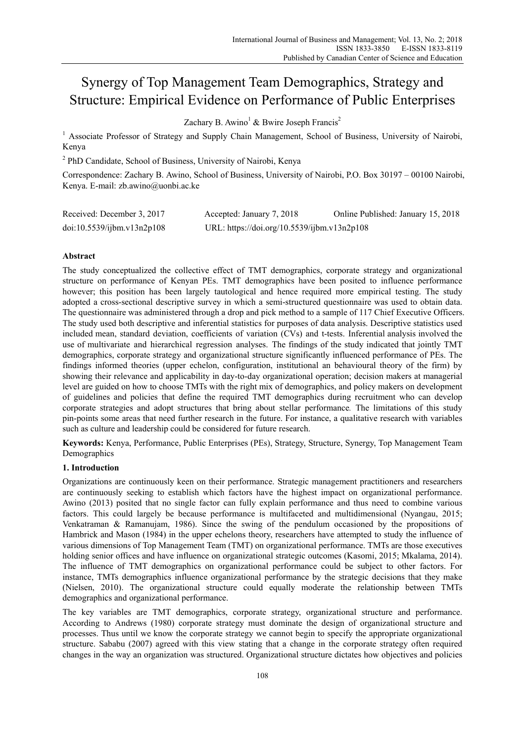# Synergy of Top Management Team Demographics, Strategy and Structure: Empirical Evidence on Performance of Public Enterprises

Zachary B. Awino<sup>1</sup> & Bwire Joseph Francis<sup>2</sup>

<sup>1</sup> Associate Professor of Strategy and Supply Chain Management, School of Business, University of Nairobi, Kenya

<sup>2</sup> PhD Candidate, School of Business, University of Nairobi, Kenya

Correspondence: Zachary B. Awino, School of Business, University of Nairobi, P.O. Box 30197 – 00100 Nairobi, Kenya. E-mail: zb.awino@uonbi.ac.ke

| Received: December 3, 2017 | Accepted: January 7, 2018                   | Online Published: January 15, 2018 |
|----------------------------|---------------------------------------------|------------------------------------|
| doi:10.5539/ijbm.v13n2p108 | URL: https://doi.org/10.5539/ijbm.v13n2p108 |                                    |

# **Abstract**

The study conceptualized the collective effect of TMT demographics, corporate strategy and organizational structure on performance of Kenyan PEs. TMT demographics have been posited to influence performance however; this position has been largely tautological and hence required more empirical testing. The study adopted a cross-sectional descriptive survey in which a semi-structured questionnaire was used to obtain data. The questionnaire was administered through a drop and pick method to a sample of 117 Chief Executive Officers. The study used both descriptive and inferential statistics for purposes of data analysis. Descriptive statistics used included mean, standard deviation, coefficients of variation (CVs) and t-tests. Inferential analysis involved the use of multivariate and hierarchical regression analyses. The findings of the study indicated that jointly TMT demographics, corporate strategy and organizational structure significantly influenced performance of PEs. The findings informed theories (upper echelon, configuration, institutional an behavioural theory of the firm) by showing their relevance and applicability in day-to-day organizational operation; decision makers at managerial level are guided on how to choose TMTs with the right mix of demographics, and policy makers on development of guidelines and policies that define the required TMT demographics during recruitment who can develop corporate strategies and adopt structures that bring about stellar performance*.* The limitations of this study pin-points some areas that need further research in the future. For instance, a qualitative research with variables such as culture and leadership could be considered for future research.

**Keywords:** Kenya, Performance, Public Enterprises (PEs), Strategy, Structure, Synergy, Top Management Team Demographics

# **1. Introduction**

Organizations are continuously keen on their performance. Strategic management practitioners and researchers are continuously seeking to establish which factors have the highest impact on organizational performance. Awino (2013) posited that no single factor can fully explain performance and thus need to combine various factors. This could largely be because performance is multifaceted and multidimensional (Nyangau, 2015; Venkatraman & Ramanujam, 1986). Since the swing of the pendulum occasioned by the propositions of Hambrick and Mason (1984) in the upper echelons theory, researchers have attempted to study the influence of various dimensions of Top Management Team (TMT) on organizational performance. TMTs are those executives holding senior offices and have influence on organizational strategic outcomes (Kasomi, 2015; Mkalama, 2014). The influence of TMT demographics on organizational performance could be subject to other factors. For instance, TMTs demographics influence organizational performance by the strategic decisions that they make (Nielsen, 2010). The organizational structure could equally moderate the relationship between TMTs demographics and organizational performance.

The key variables are TMT demographics, corporate strategy, organizational structure and performance. According to Andrews (1980) corporate strategy must dominate the design of organizational structure and processes. Thus until we know the corporate strategy we cannot begin to specify the appropriate organizational structure. Sababu (2007) agreed with this view stating that a change in the corporate strategy often required changes in the way an organization was structured. Organizational structure dictates how objectives and policies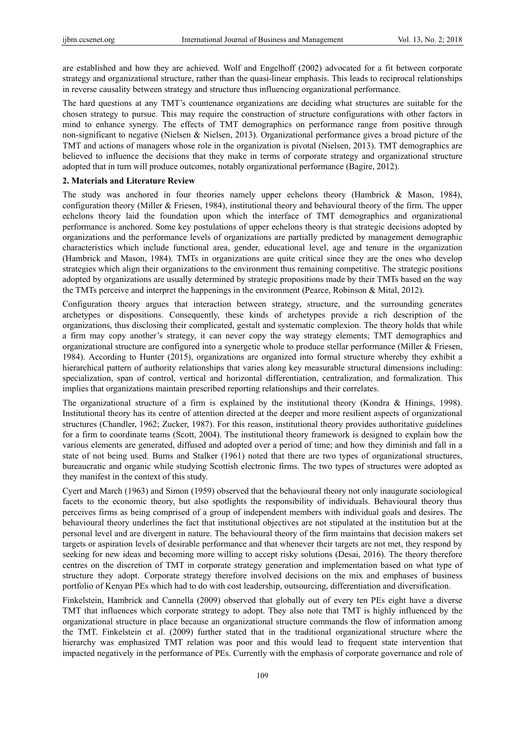are established and how they are achieved. Wolf and Engelhoff (2002) advocated for a fit between corporate strategy and organizational structure, rather than the quasi-linear emphasis. This leads to reciprocal relationships in reverse causality between strategy and structure thus influencing organizational performance.

The hard questions at any TMT's countenance organizations are deciding what structures are suitable for the chosen strategy to pursue. This may require the construction of structure configurations with other factors in mind to enhance synergy. The effects of TMT demographics on performance range from positive through non-significant to negative (Nielsen & Nielsen, 2013). Organizational performance gives a broad picture of the TMT and actions of managers whose role in the organization is pivotal (Nielsen, 2013). TMT demographics are believed to influence the decisions that they make in terms of corporate strategy and organizational structure adopted that in turn will produce outcomes, notably organizational performance (Bagire, 2012).

#### **2. Materials and Literature Review**

The study was anchored in four theories namely upper echelons theory (Hambrick & Mason, 1984), configuration theory (Miller & Friesen, 1984), institutional theory and behavioural theory of the firm. The upper echelons theory laid the foundation upon which the interface of TMT demographics and organizational performance is anchored. Some key postulations of upper echelons theory is that strategic decisions adopted by organizations and the performance levels of organizations are partially predicted by management demographic characteristics which include functional area, gender, educational level, age and tenure in the organization (Hambrick and Mason, 1984). TMTs in organizations are quite critical since they are the ones who develop strategies which align their organizations to the environment thus remaining competitive. The strategic positions adopted by organizations are usually determined by strategic propositions made by their TMTs based on the way the TMTs perceive and interpret the happenings in the environment (Pearce, Robinson & Mital, 2012).

Configuration theory argues that interaction between strategy, structure, and the surrounding generates archetypes or dispositions. Consequently, these kinds of archetypes provide a rich description of the organizations, thus disclosing their complicated, gestalt and systematic complexion. The theory holds that while a firm may copy another's strategy, it can never copy the way strategy elements; TMT demographics and organizational structure are configured into a synergetic whole to produce stellar performance (Miller & Friesen, 1984). According to Hunter (2015), organizations are organized into formal structure whereby they exhibit a hierarchical pattern of authority relationships that varies along key measurable structural dimensions including: specialization, span of control, vertical and horizontal differentiation, centralization, and formalization. This implies that organizations maintain prescribed reporting relationships and their correlates.

The organizational structure of a firm is explained by the institutional theory (Kondra & Hinings, 1998). Institutional theory has its centre of attention directed at the deeper and more resilient aspects of organizational structures (Chandler, 1962; Zucker, 1987). For this reason, institutional theory provides authoritative guidelines for a firm to coordinate teams (Scott, 2004). The institutional theory framework is designed to explain how the various elements are generated, diffused and adopted over a period of time; and how they diminish and fall in a state of not being used. Burns and Stalker (1961) noted that there are two types of organizational structures, bureaucratic and organic while studying Scottish electronic firms. The two types of structures were adopted as they manifest in the context of this study.

Cyert and March (1963) and Simon (1959) observed that the behavioural theory not only inaugurate sociological facets to the economic theory, but also spotlights the responsibility of individuals. Behavioural theory thus perceives firms as being comprised of a group of independent members with individual goals and desires. The behavioural theory underlines the fact that institutional objectives are not stipulated at the institution but at the personal level and are divergent in nature. The behavioural theory of the firm maintains that decision makers set targets or aspiration levels of desirable performance and that whenever their targets are not met, they respond by seeking for new ideas and becoming more willing to accept risky solutions (Desai, 2016). The theory therefore centres on the discretion of TMT in corporate strategy generation and implementation based on what type of structure they adopt. Corporate strategy therefore involved decisions on the mix and emphases of business portfolio of Kenyan PEs which had to do with cost leadership, outsourcing, differentiation and diversification.

Finkelstein, Hambrick and Cannella (2009) observed that globally out of every ten PEs eight have a diverse TMT that influences which corporate strategy to adopt. They also note that TMT is highly influenced by the organizational structure in place because an organizational structure commands the flow of information among the TMT. Finkelstein et al. (2009) further stated that in the traditional organizational structure where the hierarchy was emphasized TMT relation was poor and this would lead to frequent state intervention that impacted negatively in the performance of PEs. Currently with the emphasis of corporate governance and role of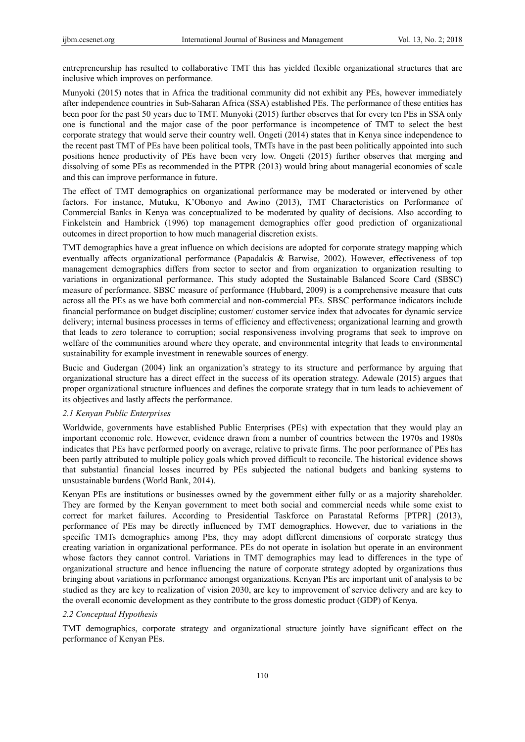entrepreneurship has resulted to collaborative TMT this has yielded flexible organizational structures that are inclusive which improves on performance.

Munyoki (2015) notes that in Africa the traditional community did not exhibit any PEs, however immediately after independence countries in Sub-Saharan Africa (SSA) established PEs. The performance of these entities has been poor for the past 50 years due to TMT. Munyoki (2015) further observes that for every ten PEs in SSA only one is functional and the major case of the poor performance is incompetence of TMT to select the best corporate strategy that would serve their country well. Ongeti (2014) states that in Kenya since independence to the recent past TMT of PEs have been political tools, TMTs have in the past been politically appointed into such positions hence productivity of PEs have been very low. Ongeti (2015) further observes that merging and dissolving of some PEs as recommended in the PTPR (2013) would bring about managerial economies of scale and this can improve performance in future.

The effect of TMT demographics on organizational performance may be moderated or intervened by other factors. For instance, Mutuku, K'Obonyo and Awino (2013), TMT Characteristics on Performance of Commercial Banks in Kenya was conceptualized to be moderated by quality of decisions. Also according to Finkelstein and Hambrick (1996) top management demographics offer good prediction of organizational outcomes in direct proportion to how much managerial discretion exists.

TMT demographics have a great influence on which decisions are adopted for corporate strategy mapping which eventually affects organizational performance (Papadakis & Barwise, 2002). However, effectiveness of top management demographics differs from sector to sector and from organization to organization resulting to variations in organizational performance. This study adopted the Sustainable Balanced Score Card (SBSC) measure of performance. SBSC measure of performance (Hubbard, 2009) is a comprehensive measure that cuts across all the PEs as we have both commercial and non-commercial PEs. SBSC performance indicators include financial performance on budget discipline; customer/ customer service index that advocates for dynamic service delivery; internal business processes in terms of efficiency and effectiveness; organizational learning and growth that leads to zero tolerance to corruption; social responsiveness involving programs that seek to improve on welfare of the communities around where they operate, and environmental integrity that leads to environmental sustainability for example investment in renewable sources of energy.

Bucic and Gudergan (2004) link an organization's strategy to its structure and performance by arguing that organizational structure has a direct effect in the success of its operation strategy. Adewale (2015) argues that proper organizational structure influences and defines the corporate strategy that in turn leads to achievement of its objectives and lastly affects the performance.

## *2.1 Kenyan Public Enterprises*

Worldwide, governments have established Public Enterprises (PEs) with expectation that they would play an important economic role. However, evidence drawn from a number of countries between the 1970s and 1980s indicates that PEs have performed poorly on average, relative to private firms. The poor performance of PEs has been partly attributed to multiple policy goals which proved difficult to reconcile. The historical evidence shows that substantial financial losses incurred by PEs subjected the national budgets and banking systems to unsustainable burdens (World Bank, 2014).

Kenyan PEs are institutions or businesses owned by the government either fully or as a majority shareholder. They are formed by the Kenyan government to meet both social and commercial needs while some exist to correct for market failures. According to Presidential Taskforce on Parastatal Reforms [PTPR] (2013), performance of PEs may be directly influenced by TMT demographics. However, due to variations in the specific TMTs demographics among PEs, they may adopt different dimensions of corporate strategy thus creating variation in organizational performance. PEs do not operate in isolation but operate in an environment whose factors they cannot control. Variations in TMT demographics may lead to differences in the type of organizational structure and hence influencing the nature of corporate strategy adopted by organizations thus bringing about variations in performance amongst organizations. Kenyan PEs are important unit of analysis to be studied as they are key to realization of vision 2030, are key to improvement of service delivery and are key to the overall economic development as they contribute to the gross domestic product (GDP) of Kenya.

## *2.2 Conceptual Hypothesis*

TMT demographics, corporate strategy and organizational structure jointly have significant effect on the performance of Kenyan PEs.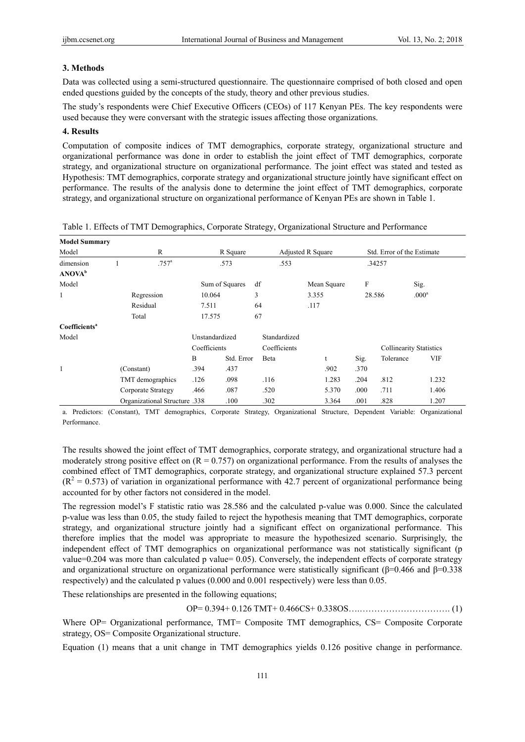#### **3. Methods**

Data was collected using a semi-structured questionnaire. The questionnaire comprised of both closed and open ended questions guided by the concepts of the study, theory and other previous studies.

The study's respondents were Chief Executive Officers (CEOs) of 117 Kenyan PEs. The key respondents were used because they were conversant with the strategic issues affecting those organizations.

## **4. Results**

Computation of composite indices of TMT demographics, corporate strategy, organizational structure and organizational performance was done in order to establish the joint effect of TMT demographics, corporate strategy, and organizational structure on organizational performance. The joint effect was stated and tested as Hypothesis: TMT demographics, corporate strategy and organizational structure jointly have significant effect on performance. The results of the analysis done to determine the joint effect of TMT demographics, corporate strategy, and organizational structure on organizational performance of Kenyan PEs are shown in Table 1.

| <b>Model Summary</b> |                 |                               |                                                            |                   |      |                                |                   |
|----------------------|-----------------|-------------------------------|------------------------------------------------------------|-------------------|------|--------------------------------|-------------------|
| R                    | R Square        |                               |                                                            | Adjusted R Square |      | Std. Error of the Estimate     |                   |
| $.757$ <sup>a</sup>  | .573            |                               | .553                                                       |                   |      |                                |                   |
|                      |                 |                               |                                                            |                   |      |                                |                   |
|                      |                 |                               | df                                                         | Mean Square       | F    |                                | Sig.              |
| Regression           | 10.064<br>7.511 |                               | 3                                                          | 3.355             |      |                                | .000 <sup>a</sup> |
| Residual             |                 |                               | 64                                                         | .117              |      |                                |                   |
| Total                |                 |                               | 67                                                         |                   |      |                                |                   |
|                      |                 |                               |                                                            |                   |      |                                |                   |
|                      |                 |                               | Standardized                                               |                   |      |                                |                   |
|                      |                 |                               | Coefficients                                               |                   |      | <b>Collinearity Statistics</b> |                   |
|                      | B               |                               | Beta                                                       | t                 | Sig. | Tolerance                      | VIF               |
| (Constant)           | .394            | .437                          |                                                            | .902              | .370 |                                |                   |
| TMT demographics     | .126            | .098                          | .116                                                       | 1.283             | .204 | .812                           | 1.232             |
| Corporate Strategy   | .466            | .087                          | .520                                                       | 5.370             | .000 | .711                           | 1.406             |
|                      |                 | .100                          | .302                                                       | 3.364             | .001 | .828                           | 1.207             |
|                      |                 | Organizational Structure .338 | Sum of Squares<br>17.575<br>Unstandardized<br>Coefficients | Std. Error        |      |                                | .34257<br>28.586  |

Table 1. Effects of TMT Demographics, Corporate Strategy, Organizational Structure and Performance

a. Predictors: (Constant), TMT demographics, Corporate Strategy, Organizational Structure, Dependent Variable: Organizational Performance.

The results showed the joint effect of TMT demographics, corporate strategy, and organizational structure had a moderately strong positive effect on  $(R = 0.757)$  on organizational performance. From the results of analyses the combined effect of TMT demographics, corporate strategy, and organizational structure explained 57.3 percent  $(R<sup>2</sup> = 0.573)$  of variation in organizational performance with 42.7 percent of organizational performance being accounted for by other factors not considered in the model.

The regression model's F statistic ratio was 28.586 and the calculated p-value was 0.000. Since the calculated p-value was less than 0.05, the study failed to reject the hypothesis meaning that TMT demographics, corporate strategy, and organizational structure jointly had a significant effect on organizational performance. This therefore implies that the model was appropriate to measure the hypothesized scenario. Surprisingly, the independent effect of TMT demographics on organizational performance was not statistically significant (p value=0.204 was more than calculated p value= 0.05). Conversely, the independent effects of corporate strategy and organizational structure on organizational performance were statistically significant ( $\beta$ =0.466 and  $\beta$ =0.338 respectively) and the calculated p values (0.000 and 0.001 respectively) were less than 0.05.

These relationships are presented in the following equations;

$$
OP= 0.394+ 0.126 TMT + 0.466CS + 0.338OS
$$
................. (1)

Where OP= Organizational performance, TMT= Composite TMT demographics, CS= Composite Corporate strategy, OS= Composite Organizational structure.

Equation (1) means that a unit change in TMT demographics yields 0.126 positive change in performance.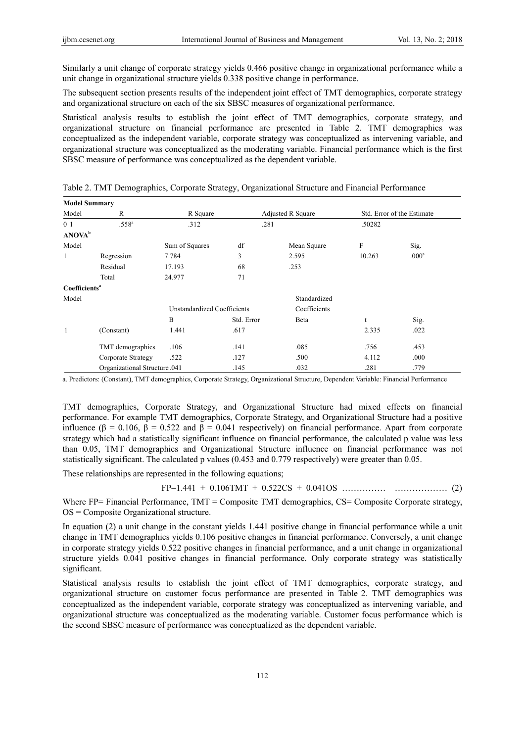Similarly a unit change of corporate strategy yields 0.466 positive change in organizational performance while a unit change in organizational structure yields 0.338 positive change in performance.

The subsequent section presents results of the independent joint effect of TMT demographics, corporate strategy and organizational structure on each of the six SBSC measures of organizational performance.

Statistical analysis results to establish the joint effect of TMT demographics, corporate strategy, and organizational structure on financial performance are presented in Table 2. TMT demographics was conceptualized as the independent variable, corporate strategy was conceptualized as intervening variable, and organizational structure was conceptualized as the moderating variable. Financial performance which is the first SBSC measure of performance was conceptualized as the dependent variable.

| <b>Model Summary</b>      |                               |                             |            |                   |        |                            |  |
|---------------------------|-------------------------------|-----------------------------|------------|-------------------|--------|----------------------------|--|
| Model                     | R                             | R Square                    |            | Adjusted R Square |        | Std. Error of the Estimate |  |
| 0 <sub>1</sub>            | .558 <sup>a</sup>             | .312                        | .281       |                   | .50282 |                            |  |
| <b>ANOVA</b> <sup>b</sup> |                               |                             |            |                   |        |                            |  |
| Model                     |                               | Sum of Squares              | df         | Mean Square       | F      | Sig.                       |  |
| 1                         | Regression                    | 7.784                       | 3          | 2.595             | 10.263 | .000 <sup>a</sup>          |  |
|                           | Residual                      | 17.193                      | 68         | .253              |        |                            |  |
|                           | Total                         | 24.977                      | 71         |                   |        |                            |  |
| Coefficients <sup>a</sup> |                               |                             |            |                   |        |                            |  |
| Model                     |                               |                             |            | Standardized      |        |                            |  |
|                           |                               | Unstandardized Coefficients |            | Coefficients      |        |                            |  |
|                           |                               | B                           | Std. Error | Beta              | t      | Sig.                       |  |
| 1                         | (Constant)                    | 1.441                       | .617       |                   | 2.335  | .022                       |  |
|                           | TMT demographics              | .106                        | .141       | .085              | .756   | .453                       |  |
|                           | Corporate Strategy            | .522                        | .127       | .500              | 4.112  | .000                       |  |
|                           | Organizational Structure .041 |                             | .145       | .032              | .281   | .779                       |  |

Table 2. TMT Demographics, Corporate Strategy, Organizational Structure and Financial Performance

a. Predictors: (Constant), TMT demographics, Corporate Strategy, Organizational Structure, Dependent Variable: Financial Performance

TMT demographics, Corporate Strategy, and Organizational Structure had mixed effects on financial performance. For example TMT demographics, Corporate Strategy, and Organizational Structure had a positive influence ( $\beta = 0.106$ ,  $\beta = 0.522$  and  $\beta = 0.041$  respectively) on financial performance. Apart from corporate strategy which had a statistically significant influence on financial performance, the calculated p value was less than 0.05, TMT demographics and Organizational Structure influence on financial performance was not statistically significant. The calculated p values (0.453 and 0.779 respectively) were greater than 0.05.

These relationships are represented in the following equations;

FP=1.441 + 0.106TMT + 0.522CS + 0.041OS …………… ……………… (2)

Where FP= Financial Performance, TMT = Composite TMT demographics, CS= Composite Corporate strategy, OS = Composite Organizational structure.

In equation (2) a unit change in the constant yields 1.441 positive change in financial performance while a unit change in TMT demographics yields 0.106 positive changes in financial performance. Conversely, a unit change in corporate strategy yields 0.522 positive changes in financial performance, and a unit change in organizational structure yields 0.041 positive changes in financial performance. Only corporate strategy was statistically significant.

Statistical analysis results to establish the joint effect of TMT demographics, corporate strategy, and organizational structure on customer focus performance are presented in Table 2. TMT demographics was conceptualized as the independent variable, corporate strategy was conceptualized as intervening variable, and organizational structure was conceptualized as the moderating variable. Customer focus performance which is the second SBSC measure of performance was conceptualized as the dependent variable.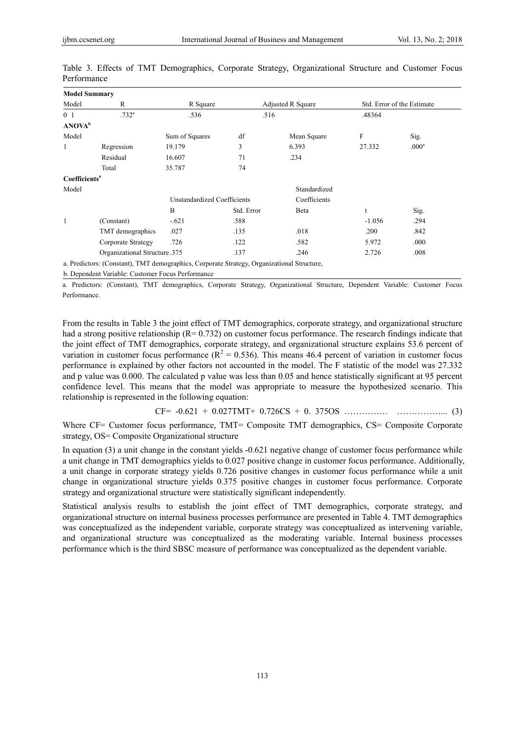| <b>Model Summary</b>      |                                                                                            |                             |            |                   |          |                            |
|---------------------------|--------------------------------------------------------------------------------------------|-----------------------------|------------|-------------------|----------|----------------------------|
| Model                     | R                                                                                          | R Square                    |            | Adjusted R Square |          | Std. Error of the Estimate |
| 0 <sub>1</sub>            | .732 <sup>a</sup>                                                                          | .536                        | .516       |                   | .48364   |                            |
| <b>ANOVA</b> <sup>b</sup> |                                                                                            |                             |            |                   |          |                            |
| Model                     |                                                                                            | Sum of Squares              | df         | Mean Square       | F        | Sig.                       |
| 1                         | Regression                                                                                 | 19.179                      | 3          | 6.393             | 27.332   | .000 <sup>a</sup>          |
|                           | Residual                                                                                   | 16.607                      | 71         | .234              |          |                            |
|                           | Total                                                                                      | 35.787                      | 74         |                   |          |                            |
| Coefficients <sup>a</sup> |                                                                                            |                             |            |                   |          |                            |
| Model                     |                                                                                            |                             |            | Standardized      |          |                            |
|                           |                                                                                            | Unstandardized Coefficients |            | Coefficients      |          |                            |
|                           |                                                                                            | B                           | Std. Error | Beta              | t        | Sig.                       |
| 1                         | (Constant)                                                                                 | $-.621$                     | .588       |                   | $-1.056$ | .294                       |
|                           | TMT demographics                                                                           | .027                        | .135       | .018              | .200     | .842                       |
|                           | Corporate Strategy                                                                         | .726                        | .122       | .582              | 5.972    | .000                       |
|                           | Organizational Structure.375                                                               |                             | .137       | .246              | 2.726    | .008                       |
|                           | a. Predictors: (Constant), TMT demographics, Corporate Strategy, Organizational Structure, |                             |            |                   |          |                            |

Table 3. Effects of TMT Demographics, Corporate Strategy, Organizational Structure and Customer Focus Performance

b. Dependent Variable: Customer Focus Performance

a. Predictors: (Constant), TMT demographics, Corporate Strategy, Organizational Structure, Dependent Variable: Customer Focus Performance.

From the results in Table 3 the joint effect of TMT demographics, corporate strategy, and organizational structure had a strong positive relationship (R= 0.732) on customer focus performance. The research findings indicate that the joint effect of TMT demographics, corporate strategy, and organizational structure explains 53.6 percent of variation in customer focus performance ( $R^2 = 0.536$ ). This means 46.4 percent of variation in customer focus performance is explained by other factors not accounted in the model. The F statistic of the model was 27.332 and p value was 0.000. The calculated p value was less than 0.05 and hence statistically significant at 95 percent confidence level. This means that the model was appropriate to measure the hypothesized scenario. This relationship is represented in the following equation:

CF = 
$$
-0.621 + 0.027TMT + 0.726CS + 0.375OS
$$

Where CF= Customer focus performance, TMT= Composite TMT demographics, CS= Composite Corporate strategy, OS= Composite Organizational structure

In equation (3) a unit change in the constant yields -0.621 negative change of customer focus performance while a unit change in TMT demographics yields to 0.027 positive change in customer focus performance. Additionally, a unit change in corporate strategy yields 0.726 positive changes in customer focus performance while a unit change in organizational structure yields 0.375 positive changes in customer focus performance. Corporate strategy and organizational structure were statistically significant independently.

Statistical analysis results to establish the joint effect of TMT demographics, corporate strategy, and organizational structure on internal business processes performance are presented in Table 4. TMT demographics was conceptualized as the independent variable, corporate strategy was conceptualized as intervening variable, and organizational structure was conceptualized as the moderating variable. Internal business processes performance which is the third SBSC measure of performance was conceptualized as the dependent variable.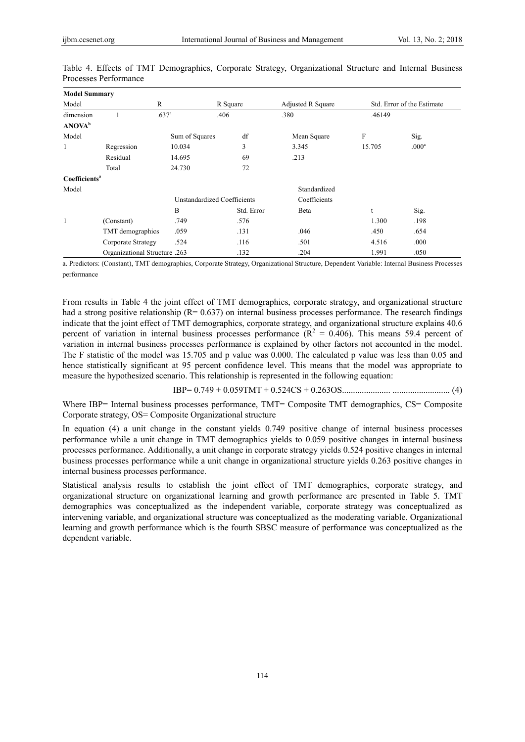| <b>Model Summary</b>      |                               |                   |                             |                   |                            |                   |  |
|---------------------------|-------------------------------|-------------------|-----------------------------|-------------------|----------------------------|-------------------|--|
| Model<br>$\mathbb{R}$     |                               |                   | R Square                    | Adjusted R Square | Std. Error of the Estimate |                   |  |
| dimension                 |                               | .637 <sup>a</sup> | .406                        | .380              | .46149                     |                   |  |
| <b>ANOVA</b> <sup>b</sup> |                               |                   |                             |                   |                            |                   |  |
| Model                     |                               | Sum of Squares    | df                          | Mean Square       | F                          | Sig.              |  |
| 1                         | Regression                    | 10.034            | 3                           | 3.345             | 15.705                     | .000 <sup>a</sup> |  |
|                           | Residual                      | 14.695            | 69                          | .213              |                            |                   |  |
|                           | Total                         | 24.730            | 72                          |                   |                            |                   |  |
| Coefficients <sup>a</sup> |                               |                   |                             |                   |                            |                   |  |
| Model                     |                               |                   |                             | Standardized      |                            |                   |  |
|                           |                               |                   | Unstandardized Coefficients | Coefficients      |                            |                   |  |
|                           |                               | B                 | Std. Error                  | Beta              | t                          | Sig.              |  |
| 1                         | (Constant)                    | .749              | .576                        |                   | 1.300                      | .198              |  |
|                           | TMT demographics              | .059              | .131                        | .046              | .450                       | .654              |  |
|                           | Corporate Strategy            | .524              | .116                        | .501              | 4.516                      | .000              |  |
|                           | Organizational Structure .263 |                   | .132                        | .204              | 1.991                      | .050              |  |

Table 4. Effects of TMT Demographics, Corporate Strategy, Organizational Structure and Internal Business Processes Performance

a. Predictors: (Constant), TMT demographics, Corporate Strategy, Organizational Structure, Dependent Variable: Internal Business Processes performance

From results in Table 4 the joint effect of TMT demographics, corporate strategy, and organizational structure had a strong positive relationship (R= 0.637) on internal business processes performance. The research findings indicate that the joint effect of TMT demographics, corporate strategy, and organizational structure explains 40.6 percent of variation in internal business processes performance ( $R^2 = 0.406$ ). This means 59.4 percent of variation in internal business processes performance is explained by other factors not accounted in the model. The F statistic of the model was 15.705 and p value was 0.000. The calculated p value was less than 0.05 and hence statistically significant at 95 percent confidence level. This means that the model was appropriate to measure the hypothesized scenario. This relationship is represented in the following equation:

IBP= 0.749 + 0.059TMT + 0.524CS + 0.263OS...................... .......................... (4)

Where IBP= Internal business processes performance, TMT= Composite TMT demographics, CS= Composite Corporate strategy, OS= Composite Organizational structure

In equation (4) a unit change in the constant yields 0.749 positive change of internal business processes performance while a unit change in TMT demographics yields to 0.059 positive changes in internal business processes performance. Additionally, a unit change in corporate strategy yields 0.524 positive changes in internal business processes performance while a unit change in organizational structure yields 0.263 positive changes in internal business processes performance.

Statistical analysis results to establish the joint effect of TMT demographics, corporate strategy, and organizational structure on organizational learning and growth performance are presented in Table 5. TMT demographics was conceptualized as the independent variable, corporate strategy was conceptualized as intervening variable, and organizational structure was conceptualized as the moderating variable. Organizational learning and growth performance which is the fourth SBSC measure of performance was conceptualized as the dependent variable.

114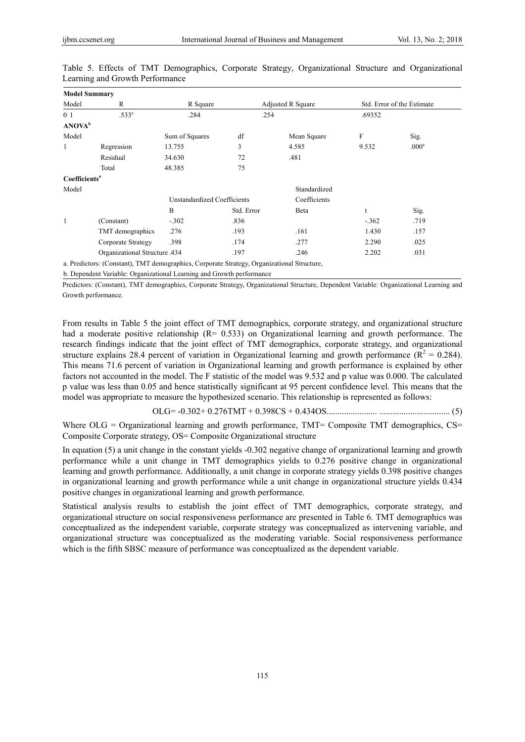| <b>Model Summary</b>      |                                                                                    |                             |              |                   |                            |                   |
|---------------------------|------------------------------------------------------------------------------------|-----------------------------|--------------|-------------------|----------------------------|-------------------|
| Model                     | R                                                                                  | R Square                    |              | Adjusted R Square | Std. Error of the Estimate |                   |
| 0 <sub>1</sub>            | .533 <sup>a</sup>                                                                  | .284                        | .254         |                   | .69352                     |                   |
| <b>ANOVA</b> <sup>b</sup> |                                                                                    |                             |              |                   |                            |                   |
| Model                     |                                                                                    | Sum of Squares              | df           | Mean Square       | F                          | Sig.              |
| 1                         | Regression                                                                         | 13.755                      | 3            | 4.585             | 9.532                      | .000 <sup>a</sup> |
|                           | Residual                                                                           | 34.630                      | 72           | .481              |                            |                   |
|                           | Total                                                                              | 48.385                      | 75           |                   |                            |                   |
| Coefficients <sup>a</sup> |                                                                                    |                             |              |                   |                            |                   |
| Model                     |                                                                                    |                             |              | Standardized      |                            |                   |
|                           |                                                                                    | Unstandardized Coefficients | Coefficients |                   |                            |                   |
|                           |                                                                                    | B                           | Std. Error   | Beta              | t                          | Sig.              |
| 1                         | (Constant)                                                                         | $-.302$                     | .836         |                   | $-.362$                    | .719              |
|                           | TMT demographics                                                                   | .276                        | .193         | .161              | 1.430                      | .157              |
|                           | Corporate Strategy                                                                 | .398                        | .174         | .277              | 2.290                      | .025              |
|                           | Organizational Structure .434                                                      |                             | .197         | .246              | 2.202                      | .031              |
|                           | a Duadiatamy (Canatant) TMT damagangking Camanata Stuateary Ouagurational Stuature |                             |              |                   |                            |                   |

Table 5. Effects of TMT Demographics, Corporate Strategy, Organizational Structure and Organizational Learning and Growth Performance

a. Predictors: (Constant), TMT demographics, Corporate Strategy, Organizational Structure,

b. Dependent Variable: Organizational Learning and Growth performance

Predictors: (Constant), TMT demographics, Corporate Strategy, Organizational Structure, Dependent Variable: Organizational Learning and Growth performance.

From results in Table 5 the joint effect of TMT demographics, corporate strategy, and organizational structure had a moderate positive relationship (R= 0.533) on Organizational learning and growth performance. The research findings indicate that the joint effect of TMT demographics, corporate strategy, and organizational structure explains 28.4 percent of variation in Organizational learning and growth performance ( $\mathbb{R}^2 = 0.284$ ). This means 71.6 percent of variation in Organizational learning and growth performance is explained by other factors not accounted in the model. The F statistic of the model was 9.532 and p value was 0.000. The calculated p value was less than 0.05 and hence statistically significant at 95 percent confidence level. This means that the model was appropriate to measure the hypothesized scenario. This relationship is represented as follows:

$$
OLG = -0.302 + 0.276TMT + 0.398CS + 0.434OS
$$

Where  $OLG =$  Organizational learning and growth performance, TMT= Composite TMT demographics,  $CS =$ Composite Corporate strategy, OS= Composite Organizational structure

In equation (5) a unit change in the constant yields -0.302 negative change of organizational learning and growth performance while a unit change in TMT demographics yields to 0.276 positive change in organizational learning and growth performance. Additionally, a unit change in corporate strategy yields 0.398 positive changes in organizational learning and growth performance while a unit change in organizational structure yields 0.434 positive changes in organizational learning and growth performance.

Statistical analysis results to establish the joint effect of TMT demographics, corporate strategy, and organizational structure on social responsiveness performance are presented in Table 6. TMT demographics was conceptualized as the independent variable, corporate strategy was conceptualized as intervening variable, and organizational structure was conceptualized as the moderating variable. Social responsiveness performance which is the fifth SBSC measure of performance was conceptualized as the dependent variable.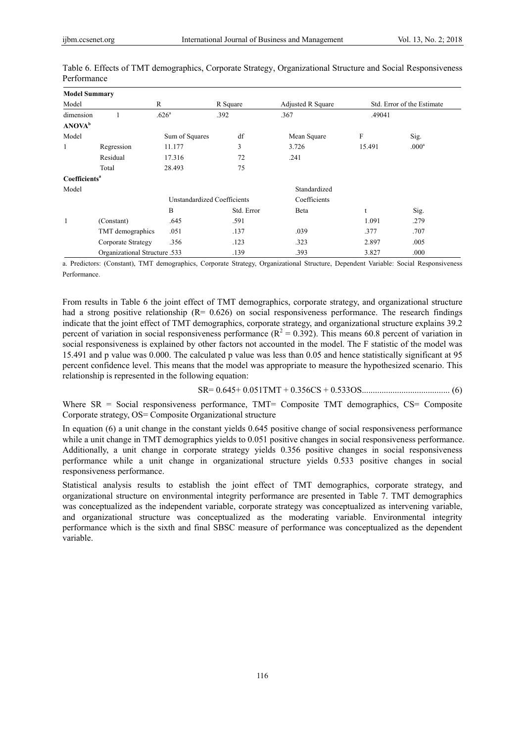| <b>Model Summary</b>      |                                      |                             |            |                          |        |                            |
|---------------------------|--------------------------------------|-----------------------------|------------|--------------------------|--------|----------------------------|
| Model                     |                                      | R                           | R Square   | <b>Adjusted R Square</b> |        | Std. Error of the Estimate |
| dimension                 |                                      | .626 <sup>a</sup>           | .392       | .367                     | .49041 |                            |
| <b>ANOVA</b> <sup>b</sup> |                                      |                             |            |                          |        |                            |
| Model                     |                                      | Sum of Squares              | df         | Mean Square              | F      | Sig.                       |
| 1                         | Regression                           | 11.177                      | 3          | 3.726                    | 15.491 | .000 <sup>a</sup>          |
|                           | Residual                             | 17.316                      | 72         | .241                     |        |                            |
|                           | Total                                | 28.493                      | 75         |                          |        |                            |
| Coefficients <sup>a</sup> |                                      |                             |            |                          |        |                            |
| Model                     |                                      |                             |            | Standardized             |        |                            |
|                           |                                      | Unstandardized Coefficients |            | Coefficients             |        |                            |
|                           |                                      | B                           | Std. Error | Beta                     | t      | Sig.                       |
| 1                         | (Constant)                           | .645                        | .591       |                          | 1.091  | .279                       |
|                           | TMT demographics                     | .051                        | .137       | .039                     | .377   | .707                       |
|                           | Corporate Strategy                   | .356                        | .123       | .323                     | 2.897  | .005                       |
|                           | <b>Organizational Structure .533</b> |                             | .139       | .393                     | 3.827  | .000                       |

| Table 6. Effects of TMT demographics, Corporate Strategy, Organizational Structure and Social Responsiveness |  |  |  |
|--------------------------------------------------------------------------------------------------------------|--|--|--|
| Performance                                                                                                  |  |  |  |

a. Predictors: (Constant), TMT demographics, Corporate Strategy, Organizational Structure, Dependent Variable: Social Responsiveness Performance.

From results in Table 6 the joint effect of TMT demographics, corporate strategy, and organizational structure had a strong positive relationship (R= 0.626) on social responsiveness performance. The research findings indicate that the joint effect of TMT demographics, corporate strategy, and organizational structure explains 39.2 percent of variation in social responsiveness performance ( $R^2 = 0.392$ ). This means 60.8 percent of variation in social responsiveness is explained by other factors not accounted in the model. The F statistic of the model was 15.491 and p value was 0.000. The calculated p value was less than 0.05 and hence statistically significant at 95 percent confidence level. This means that the model was appropriate to measure the hypothesized scenario. This relationship is represented in the following equation:

SR= 0.645+ 0.051TMT + 0.356CS + 0.533OS........................................ (6)

Where SR = Social responsiveness performance, TMT= Composite TMT demographics, CS= Composite Corporate strategy, OS= Composite Organizational structure

In equation (6) a unit change in the constant yields 0.645 positive change of social responsiveness performance while a unit change in TMT demographics yields to 0.051 positive changes in social responsiveness performance. Additionally, a unit change in corporate strategy yields 0.356 positive changes in social responsiveness performance while a unit change in organizational structure yields 0.533 positive changes in social responsiveness performance.

Statistical analysis results to establish the joint effect of TMT demographics, corporate strategy, and organizational structure on environmental integrity performance are presented in Table 7. TMT demographics was conceptualized as the independent variable, corporate strategy was conceptualized as intervening variable, and organizational structure was conceptualized as the moderating variable. Environmental integrity performance which is the sixth and final SBSC measure of performance was conceptualized as the dependent variable.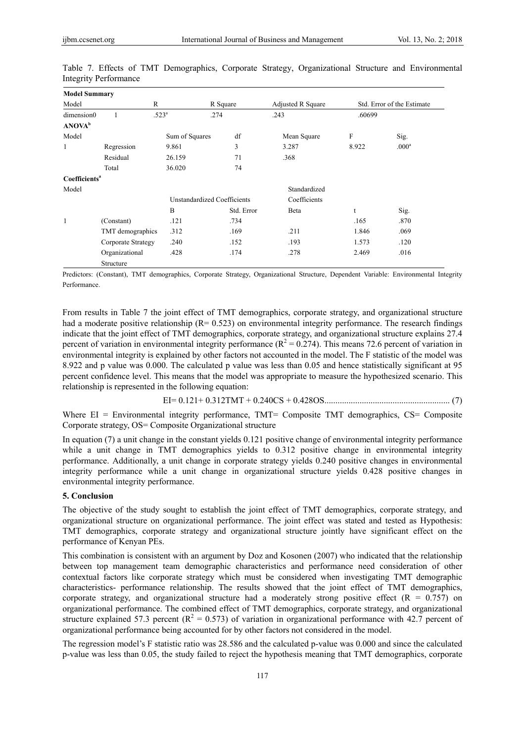| <b>Model Summary</b>      |                    |                   |                                    |                          |        |                            |
|---------------------------|--------------------|-------------------|------------------------------------|--------------------------|--------|----------------------------|
| Model                     | R                  |                   | R Square                           | <b>Adjusted R Square</b> |        | Std. Error of the Estimate |
| dimension0                |                    | .523 <sup>a</sup> | .274                               | .243                     | .60699 |                            |
| <b>ANOVA</b> <sup>b</sup> |                    |                   |                                    |                          |        |                            |
| Model                     |                    | Sum of Squares    | df                                 | Mean Square              | F      | Sig.                       |
| 1                         | Regression         | 9.861             | 3                                  | 3.287                    | 8.922  | .000 <sup>a</sup>          |
|                           | Residual           | 26.159            | 71                                 | .368                     |        |                            |
|                           | Total              | 36.020            | 74                                 |                          |        |                            |
| Coefficients <sup>a</sup> |                    |                   |                                    |                          |        |                            |
| Model                     |                    |                   |                                    | Standardized             |        |                            |
|                           |                    |                   | <b>Unstandardized Coefficients</b> | Coefficients             |        |                            |
|                           |                    | B                 | Std. Error                         | Beta                     | t      | Sig.                       |
| 1                         | (Constant)         | .121              | .734                               |                          | .165   | .870                       |
|                           | TMT demographics   | .312              | .169                               | .211                     | 1.846  | .069                       |
|                           | Corporate Strategy | .240              | .152                               | .193                     | 1.573  | .120                       |
|                           | Organizational     | .428              | .174                               | .278                     | 2.469  | .016                       |
|                           | Structure          |                   |                                    |                          |        |                            |

Table 7. Effects of TMT Demographics, Corporate Strategy, Organizational Structure and Environmental Integrity Performance

Predictors: (Constant), TMT demographics, Corporate Strategy, Organizational Structure, Dependent Variable: Environmental Integrity Performance.

From results in Table 7 the joint effect of TMT demographics, corporate strategy, and organizational structure had a moderate positive relationship  $(R = 0.523)$  on environmental integrity performance. The research findings indicate that the joint effect of TMT demographics, corporate strategy, and organizational structure explains 27.4 percent of variation in environmental integrity performance ( $R^2 = 0.274$ ). This means 72.6 percent of variation in environmental integrity is explained by other factors not accounted in the model. The F statistic of the model was 8.922 and p value was 0.000. The calculated p value was less than 0.05 and hence statistically significant at 95 percent confidence level. This means that the model was appropriate to measure the hypothesized scenario. This relationship is represented in the following equation:

$$
EI = 0.121 + 0.312TMT + 0.240CS + 0.428OS
$$

Where EI = Environmental integrity performance, TMT= Composite TMT demographics, CS= Composite Corporate strategy, OS= Composite Organizational structure

In equation (7) a unit change in the constant yields 0.121 positive change of environmental integrity performance while a unit change in TMT demographics yields to 0.312 positive change in environmental integrity performance. Additionally, a unit change in corporate strategy yields 0.240 positive changes in environmental integrity performance while a unit change in organizational structure yields 0.428 positive changes in environmental integrity performance.

# **5. Conclusion**

The objective of the study sought to establish the joint effect of TMT demographics, corporate strategy, and organizational structure on organizational performance. The joint effect was stated and tested as Hypothesis: TMT demographics, corporate strategy and organizational structure jointly have significant effect on the performance of Kenyan PEs.

This combination is consistent with an argument by Doz and Kosonen (2007) who indicated that the relationship between top management team demographic characteristics and performance need consideration of other contextual factors like corporate strategy which must be considered when investigating TMT demographic characteristics- performance relationship. The results showed that the joint effect of TMT demographics, corporate strategy, and organizational structure had a moderately strong positive effect  $(R = 0.757)$  on organizational performance. The combined effect of TMT demographics, corporate strategy, and organizational structure explained 57.3 percent ( $R^2 = 0.573$ ) of variation in organizational performance with 42.7 percent of organizational performance being accounted for by other factors not considered in the model.

The regression model's F statistic ratio was 28.586 and the calculated p-value was 0.000 and since the calculated p-value was less than 0.05, the study failed to reject the hypothesis meaning that TMT demographics, corporate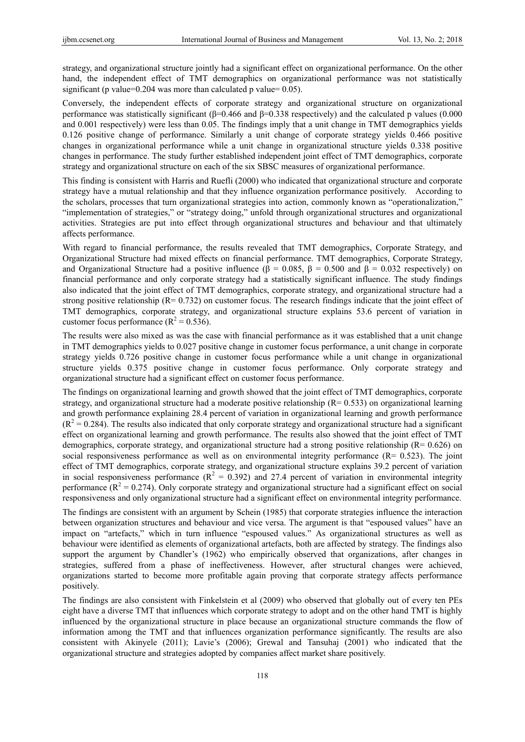strategy, and organizational structure jointly had a significant effect on organizational performance. On the other hand, the independent effect of TMT demographics on organizational performance was not statistically significant (p value= $0.204$  was more than calculated p value=  $0.05$ ).

Conversely, the independent effects of corporate strategy and organizational structure on organizational performance was statistically significant ( $β=0.466$  and  $β=0.338$  respectively) and the calculated p values (0.000 and 0.001 respectively) were less than 0.05. The findings imply that a unit change in TMT demographics yields 0.126 positive change of performance. Similarly a unit change of corporate strategy yields 0.466 positive changes in organizational performance while a unit change in organizational structure yields 0.338 positive changes in performance. The study further established independent joint effect of TMT demographics, corporate strategy and organizational structure on each of the six SBSC measures of organizational performance.

This finding is consistent with Harris and Ruefli (2000) who indicated that organizational structure and corporate strategy have a mutual relationship and that they influence organization performance positively. According to the scholars, processes that turn organizational strategies into action, commonly known as "operationalization," "implementation of strategies," or "strategy doing," unfold through organizational structures and organizational activities. Strategies are put into effect through organizational structures and behaviour and that ultimately affects performance.

With regard to financial performance, the results revealed that TMT demographics, Corporate Strategy, and Organizational Structure had mixed effects on financial performance. TMT demographics, Corporate Strategy, and Organizational Structure had a positive influence ( $\beta = 0.085$ ,  $\beta = 0.500$  and  $\beta = 0.032$  respectively) on financial performance and only corporate strategy had a statistically significant influence. The study findings also indicated that the joint effect of TMT demographics, corporate strategy, and organizational structure had a strong positive relationship  $(R= 0.732)$  on customer focus. The research findings indicate that the joint effect of TMT demographics, corporate strategy, and organizational structure explains 53.6 percent of variation in customer focus performance  $(R^2 = 0.536)$ .

The results were also mixed as was the case with financial performance as it was established that a unit change in TMT demographics yields to 0.027 positive change in customer focus performance, a unit change in corporate strategy yields 0.726 positive change in customer focus performance while a unit change in organizational structure yields 0.375 positive change in customer focus performance. Only corporate strategy and organizational structure had a significant effect on customer focus performance.

The findings on organizational learning and growth showed that the joint effect of TMT demographics, corporate strategy, and organizational structure had a moderate positive relationship  $(R= 0.533)$  on organizational learning and growth performance explaining 28.4 percent of variation in organizational learning and growth performance  $(R^2 = 0.284)$ . The results also indicated that only corporate strategy and organizational structure had a significant effect on organizational learning and growth performance. The results also showed that the joint effect of TMT demographics, corporate strategy, and organizational structure had a strong positive relationship (R= 0.626) on social responsiveness performance as well as on environmental integrity performance  $(R = 0.523)$ . The joint effect of TMT demographics, corporate strategy, and organizational structure explains 39.2 percent of variation in social responsiveness performance  $(R^2 = 0.392)$  and 27.4 percent of variation in environmental integrity performance ( $\mathbb{R}^2 = 0.274$ ). Only corporate strategy and organizational structure had a significant effect on social responsiveness and only organizational structure had a significant effect on environmental integrity performance.

The findings are consistent with an argument by Schein (1985) that corporate strategies influence the interaction between organization structures and behaviour and vice versa. The argument is that "espoused values" have an impact on "artefacts," which in turn influence "espoused values." As organizational structures as well as behaviour were identified as elements of organizational artefacts, both are affected by strategy. The findings also support the argument by Chandler's (1962) who empirically observed that organizations, after changes in strategies, suffered from a phase of ineffectiveness. However, after structural changes were achieved, organizations started to become more profitable again proving that corporate strategy affects performance positively.

The findings are also consistent with Finkelstein et al (2009) who observed that globally out of every ten PEs eight have a diverse TMT that influences which corporate strategy to adopt and on the other hand TMT is highly influenced by the organizational structure in place because an organizational structure commands the flow of information among the TMT and that influences organization performance significantly. The results are also consistent with Akinyele (2011); Lavie's (2006); Grewal and Tansuhaj (2001) who indicated that the organizational structure and strategies adopted by companies affect market share positively.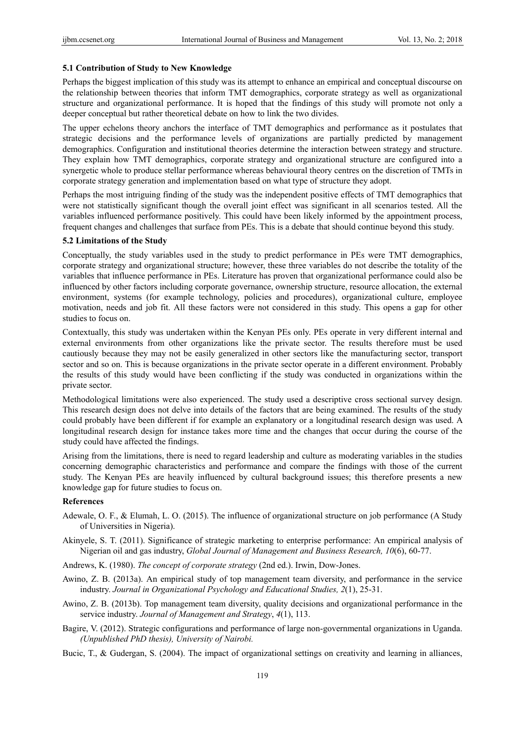#### **5.1 Contribution of Study to New Knowledge**

Perhaps the biggest implication of this study was its attempt to enhance an empirical and conceptual discourse on the relationship between theories that inform TMT demographics, corporate strategy as well as organizational structure and organizational performance. It is hoped that the findings of this study will promote not only a deeper conceptual but rather theoretical debate on how to link the two divides.

The upper echelons theory anchors the interface of TMT demographics and performance as it postulates that strategic decisions and the performance levels of organizations are partially predicted by management demographics. Configuration and institutional theories determine the interaction between strategy and structure. They explain how TMT demographics, corporate strategy and organizational structure are configured into a synergetic whole to produce stellar performance whereas behavioural theory centres on the discretion of TMTs in corporate strategy generation and implementation based on what type of structure they adopt.

Perhaps the most intriguing finding of the study was the independent positive effects of TMT demographics that were not statistically significant though the overall joint effect was significant in all scenarios tested. All the variables influenced performance positively. This could have been likely informed by the appointment process, frequent changes and challenges that surface from PEs. This is a debate that should continue beyond this study.

#### **5.2 Limitations of the Study**

Conceptually, the study variables used in the study to predict performance in PEs were TMT demographics, corporate strategy and organizational structure; however, these three variables do not describe the totality of the variables that influence performance in PEs. Literature has proven that organizational performance could also be influenced by other factors including corporate governance, ownership structure, resource allocation, the external environment, systems (for example technology, policies and procedures), organizational culture, employee motivation, needs and job fit. All these factors were not considered in this study. This opens a gap for other studies to focus on.

Contextually, this study was undertaken within the Kenyan PEs only. PEs operate in very different internal and external environments from other organizations like the private sector. The results therefore must be used cautiously because they may not be easily generalized in other sectors like the manufacturing sector, transport sector and so on. This is because organizations in the private sector operate in a different environment. Probably the results of this study would have been conflicting if the study was conducted in organizations within the private sector.

Methodological limitations were also experienced. The study used a descriptive cross sectional survey design. This research design does not delve into details of the factors that are being examined. The results of the study could probably have been different if for example an explanatory or a longitudinal research design was used. A longitudinal research design for instance takes more time and the changes that occur during the course of the study could have affected the findings.

Arising from the limitations, there is need to regard leadership and culture as moderating variables in the studies concerning demographic characteristics and performance and compare the findings with those of the current study. The Kenyan PEs are heavily influenced by cultural background issues; this therefore presents a new knowledge gap for future studies to focus on.

## **References**

- Adewale, O. F., & Elumah, L. O. (2015). The influence of organizational structure on job performance (A Study of Universities in Nigeria).
- Akinyele, S. T. (2011). Significance of strategic marketing to enterprise performance: An empirical analysis of Nigerian oil and gas industry, *Global Journal of Management and Business Research, 10*(6), 60-77.
- Andrews, K. (1980). *The concept of corporate strategy* (2nd ed.). Irwin, Dow-Jones.
- Awino, Z. B. (2013a). An empirical study of top management team diversity, and performance in the service industry. *Journal in Organizational Psychology and Educational Studies, 2*(1), 25-31.
- Awino, Z. B. (2013b). Top management team diversity, quality decisions and organizational performance in the service industry. *Journal of Management and Strategy*, *4*(1), 113.
- Bagire, V. (2012). Strategic configurations and performance of large non-governmental organizations in Uganda. *(Unpublished PhD thesis), University of Nairobi.*
- Bucic, T., & Gudergan, S. (2004). The impact of organizational settings on creativity and learning in alliances,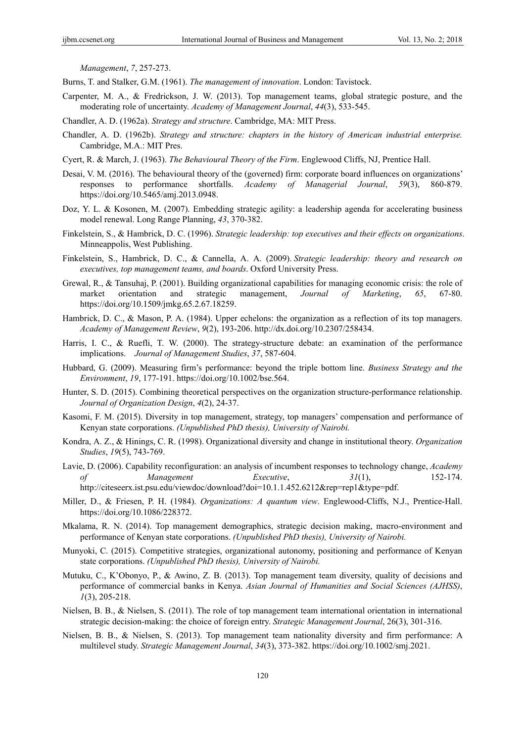*Management*, *7*, 257-273.

Burns, T. and Stalker, G.M. (1961). *The management of innovation*. London: Tavistock.

- Carpenter, M. A., & Fredrickson, J. W. (2013). Top management teams, global strategic posture, and the moderating role of uncertainty. *Academy of Management Journal*, *44*(3), 533-545.
- Chandler, A. D. (1962a). *Strategy and structure*. Cambridge, MA: MIT Press.
- Chandler, A. D. (1962b). *Strategy and structure: chapters in the history of American industrial enterprise.* Cambridge, M.A.: MIT Pres.
- Cyert, R. & March, J. (1963). *The Behavioural Theory of the Firm*. Englewood Cliffs, NJ, Prentice Hall.
- Desai, V. M. (2016). The behavioural theory of the (governed) firm: corporate board influences on organizations' responses to performance shortfalls. *Academy of Managerial Journal*, *59*(3), 860-879. https://doi.org/10.5465/amj.2013.0948.
- Doz, Y. L. & Kosonen, M. (2007). Embedding strategic agility: a leadership agenda for accelerating business model renewal. Long Range Planning, *43*, 370-382.
- Finkelstein, S., & Hambrick, D. C. (1996). *Strategic leadership: top executives and their effects on organizations*. Minneappolis, West Publishing.
- Finkelstein, S., Hambrick, D. C., & Cannella, A. A. (2009). *Strategic leadership: theory and research on executives, top management teams, and boards*. Oxford University Press.
- Grewal, R., & Tansuhaj, P. (2001). Building organizational capabilities for managing economic crisis: the role of market orientation and strategic management, *Journal of Marketing*, *65*, 67-80. https://doi.org/10.1509/jmkg.65.2.67.18259.
- Hambrick, D. C., & Mason, P. A. (1984). Upper echelons: the organization as a reflection of its top managers. *Academy of Management Review*, *9*(2), 193-206. http://dx.doi.org/10.2307/258434.
- Harris, I. C., & Ruefli, T. W. (2000). The strategy-structure debate: an examination of the performance implications. *Journal of Management Studies*, *37*, 587-604.
- Hubbard, G. (2009). Measuring firm's performance: beyond the triple bottom line. *Business Strategy and the Environment*, *19*, 177-191. https://doi.org/10.1002/bse.564.
- Hunter, S. D. (2015). Combining theoretical perspectives on the organization structure-performance relationship. *Journal of Organization Design*, *4*(2), 24-37.
- Kasomi, F. M. (2015). Diversity in top management, strategy, top managers' compensation and performance of Kenyan state corporations. *(Unpublished PhD thesis), University of Nairobi.*
- Kondra, A. Z., & Hinings, C. R. (1998). Organizational diversity and change in institutional theory. *Organization Studies*, *19*(5), 743-769.
- Lavie, D. (2006). Capability reconfiguration: an analysis of incumbent responses to technology change, *Academy of Management Executive*, *31*(1), 152-174. http://citeseerx.ist.psu.edu/viewdoc/download?doi=10.1.1.452.6212&rep=rep1&type=pdf.
- Miller, D., & Friesen, P. H. (1984). *Organizations: A quantum view*. Englewood-Cliffs, N.J., Prentice-Hall. https://doi.org/10.1086/228372.
- Mkalama, R. N. (2014). Top management demographics, strategic decision making, macro-environment and performance of Kenyan state corporations. *(Unpublished PhD thesis), University of Nairobi.*
- Munyoki, C. (2015). Competitive strategies, organizational autonomy, positioning and performance of Kenyan state corporations. *(Unpublished PhD thesis), University of Nairobi.*
- Mutuku, C., K'Obonyo, P., & Awino, Z. B. (2013). Top management team diversity, quality of decisions and performance of commercial banks in Kenya. *Asian Journal of Humanities and Social Sciences (AJHSS)*, *1*(3), 205-218.
- Nielsen, B. B., & Nielsen, S. (2011). The role of top management team international orientation in international strategic decision-making: the choice of foreign entry. *Strategic Management Journal*, 26(3), 301-316.
- Nielsen, B. B., & Nielsen, S. (2013). Top management team nationality diversity and firm performance: A multilevel study. *Strategic Management Journal*, *34*(3), 373-382. https://doi.org/10.1002/smj.2021.